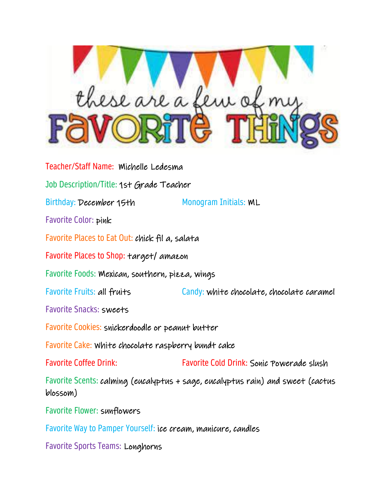

Teacher/Staff Name: Michelle Ledesma Job Description/Title: 1st Grade Teacher Birthday: December 15th Monogram Initials: ML Favorite Color: pink Favorite Places to Eat Out: chick fil a, salata Favorite Places to Shop: target/ amazon Favorite Foods: Mexican, southern, pizza, wings Favorite Fruits: all fruits Candy: white chocolate, chocolate caramel Favorite Snacks: sweets Favorite Cookies: snickerdoodle or peanut butter Favorite Cake: White chocolate raspberry bundt cake Favorite Coffee Drink: Favorite Cold Drink: Sonic Powerade slush Favorite Scents: calming (eucalyptus + sage, eucalyptus rain) and sweet (cactus blossom) Favorite Flower: sunflowers Favorite Way to Pamper Yourself: ice cream, manicure, candles

Favorite Sports Teams: Longhorns